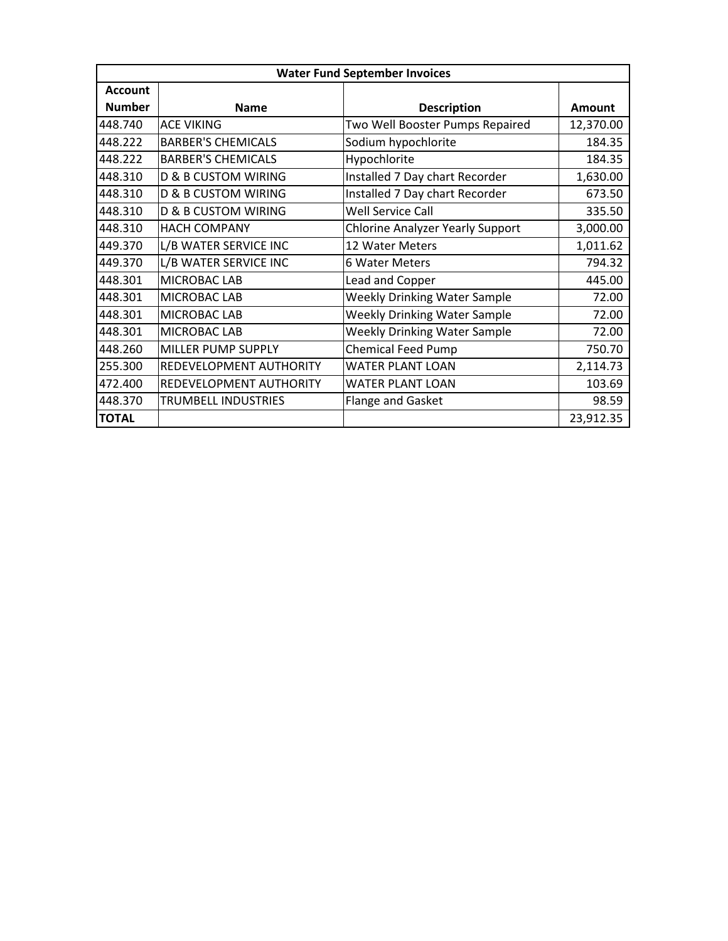| <b>Water Fund September Invoices</b> |                                |                                         |               |  |  |  |
|--------------------------------------|--------------------------------|-----------------------------------------|---------------|--|--|--|
| <b>Account</b>                       |                                |                                         |               |  |  |  |
| <b>Number</b>                        | <b>Name</b>                    | <b>Description</b>                      | <b>Amount</b> |  |  |  |
| 448.740                              | <b>ACE VIKING</b>              | Two Well Booster Pumps Repaired         | 12,370.00     |  |  |  |
| 448.222                              | <b>BARBER'S CHEMICALS</b>      | Sodium hypochlorite                     | 184.35        |  |  |  |
| 448.222                              | <b>BARBER'S CHEMICALS</b>      | Hypochlorite                            | 184.35        |  |  |  |
| 448.310                              | <b>D &amp; B CUSTOM WIRING</b> | Installed 7 Day chart Recorder          | 1,630.00      |  |  |  |
| 448.310                              | <b>D &amp; B CUSTOM WIRING</b> | Installed 7 Day chart Recorder          | 673.50        |  |  |  |
| 448.310                              | <b>D &amp; B CUSTOM WIRING</b> | <b>Well Service Call</b>                | 335.50        |  |  |  |
| 448.310                              | <b>HACH COMPANY</b>            | <b>Chlorine Analyzer Yearly Support</b> | 3,000.00      |  |  |  |
| 449.370                              | L/B WATER SERVICE INC          | 12 Water Meters                         | 1,011.62      |  |  |  |
| 449.370                              | L/B WATER SERVICE INC          | 6 Water Meters                          | 794.32        |  |  |  |
| 448.301                              | MICROBAC LAB                   | Lead and Copper                         | 445.00        |  |  |  |
| 448.301                              | MICROBAC LAB                   | <b>Weekly Drinking Water Sample</b>     | 72.00         |  |  |  |
| 448.301                              | MICROBAC LAB                   | <b>Weekly Drinking Water Sample</b>     | 72.00         |  |  |  |
| 448.301                              | MICROBAC LAB                   | <b>Weekly Drinking Water Sample</b>     | 72.00         |  |  |  |
| 448.260                              | MILLER PUMP SUPPLY             | <b>Chemical Feed Pump</b>               | 750.70        |  |  |  |
| 255.300                              | REDEVELOPMENT AUTHORITY        | <b>WATER PLANT LOAN</b>                 | 2,114.73      |  |  |  |
| 472.400                              | REDEVELOPMENT AUTHORITY        | WATER PLANT LOAN                        | 103.69        |  |  |  |
| 448.370                              | TRUMBELL INDUSTRIES            | <b>Flange and Gasket</b>                | 98.59         |  |  |  |
| <b>TOTAL</b>                         |                                |                                         | 23,912.35     |  |  |  |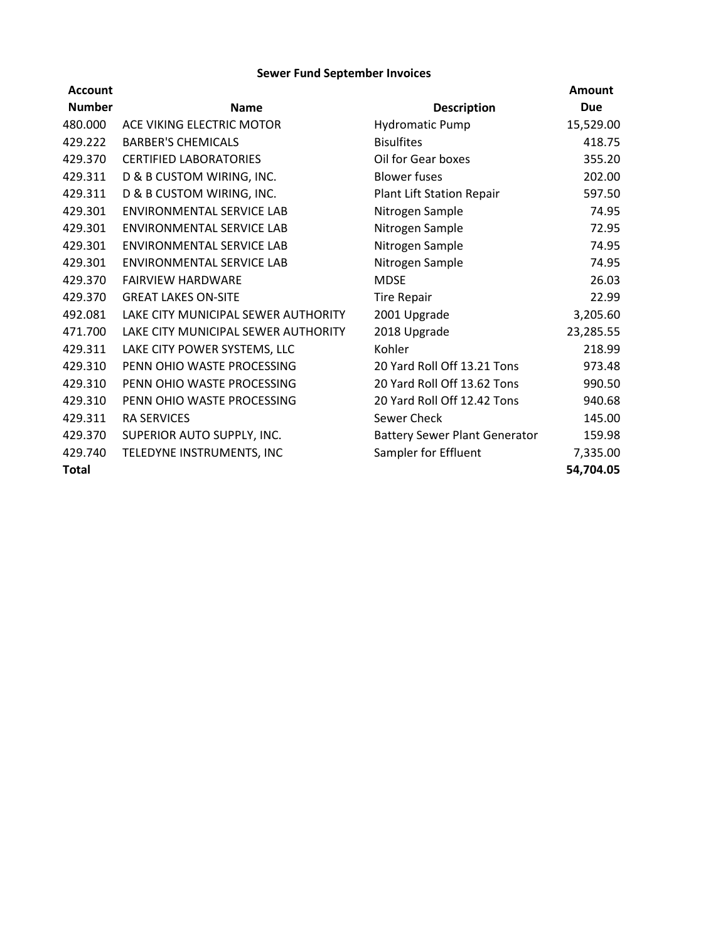## **Sewer Fund September Invoices**

| <b>Account</b> |                                     |                                      | <b>Amount</b> |
|----------------|-------------------------------------|--------------------------------------|---------------|
| <b>Number</b>  | <b>Name</b>                         | <b>Description</b>                   | <b>Due</b>    |
| 480.000        | ACE VIKING ELECTRIC MOTOR           | <b>Hydromatic Pump</b>               | 15,529.00     |
| 429.222        | <b>BARBER'S CHEMICALS</b>           | <b>Bisulfites</b>                    | 418.75        |
| 429.370        | <b>CERTIFIED LABORATORIES</b>       | Oil for Gear boxes                   | 355.20        |
| 429.311        | D & B CUSTOM WIRING, INC.           | <b>Blower fuses</b>                  | 202.00        |
| 429.311        | D & B CUSTOM WIRING, INC.           | Plant Lift Station Repair            | 597.50        |
| 429.301        | ENVIRONMENTAL SERVICE LAB           | Nitrogen Sample                      | 74.95         |
| 429.301        | ENVIRONMENTAL SERVICE LAB           | Nitrogen Sample                      | 72.95         |
| 429.301        | ENVIRONMENTAL SERVICE LAB           | Nitrogen Sample                      | 74.95         |
| 429.301        | ENVIRONMENTAL SERVICE LAB           | Nitrogen Sample                      | 74.95         |
| 429.370        | <b>FAIRVIEW HARDWARE</b>            | <b>MDSE</b>                          | 26.03         |
| 429.370        | <b>GREAT LAKES ON-SITE</b>          | <b>Tire Repair</b>                   | 22.99         |
| 492.081        | LAKE CITY MUNICIPAL SEWER AUTHORITY | 2001 Upgrade                         | 3,205.60      |
| 471.700        | LAKE CITY MUNICIPAL SEWER AUTHORITY | 2018 Upgrade                         | 23,285.55     |
| 429.311        | LAKE CITY POWER SYSTEMS, LLC        | Kohler                               | 218.99        |
| 429.310        | PENN OHIO WASTE PROCESSING          | 20 Yard Roll Off 13.21 Tons          | 973.48        |
| 429.310        | PENN OHIO WASTE PROCESSING          | 20 Yard Roll Off 13.62 Tons          | 990.50        |
| 429.310        | PENN OHIO WASTE PROCESSING          | 20 Yard Roll Off 12.42 Tons          | 940.68        |
| 429.311        | <b>RA SERVICES</b>                  | Sewer Check                          | 145.00        |
| 429.370        | SUPERIOR AUTO SUPPLY, INC.          | <b>Battery Sewer Plant Generator</b> | 159.98        |
| 429.740        | TELEDYNE INSTRUMENTS, INC           | Sampler for Effluent                 | 7,335.00      |
| Total          |                                     |                                      | 54,704.05     |